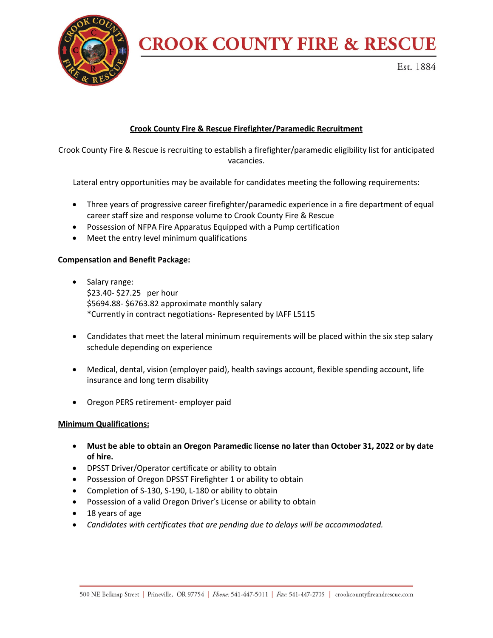

# **CROOK COUNTY FIRE & RESCUE**

Est. 1884

# **Crook County Fire & Rescue Firefighter/Paramedic Recruitment**

Crook County Fire & Rescue is recruiting to establish a firefighter/paramedic eligibility list for anticipated vacancies.

Lateral entry opportunities may be available for candidates meeting the following requirements:

- Three years of progressive career firefighter/paramedic experience in a fire department of equal career staff size and response volume to Crook County Fire & Rescue
- Possession of NFPA Fire Apparatus Equipped with a Pump certification
- Meet the entry level minimum qualifications

# **Compensation and Benefit Package:**

- Salary range: \$23.40- \$27.25 per hour \$5694.88- \$6763.82 approximate monthly salary \*Currently in contract negotiations- Represented by IAFF L5115
- Candidates that meet the lateral minimum requirements will be placed within the six step salary schedule depending on experience
- Medical, dental, vision (employer paid), health savings account, flexible spending account, life insurance and long term disability
- Oregon PERS retirement- employer paid

# **Minimum Qualifications:**

- **Must be able to obtain an Oregon Paramedic license no later than October 31, 2022 or by date of hire.**
- DPSST Driver/Operator certificate or ability to obtain
- Possession of Oregon DPSST Firefighter 1 or ability to obtain
- Completion of S-130, S-190, L-180 or ability to obtain
- Possession of a valid Oregon Driver's License or ability to obtain
- 18 years of age
- *Candidates with certificates that are pending due to delays will be accommodated.*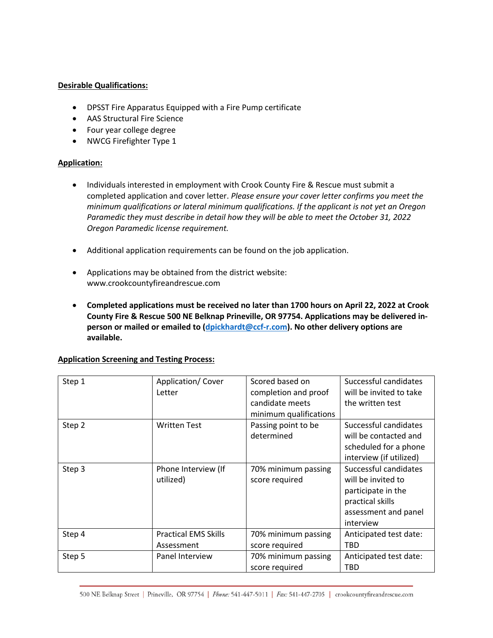# **Desirable Qualifications:**

- DPSST Fire Apparatus Equipped with a Fire Pump certificate
- AAS Structural Fire Science
- Four year college degree
- NWCG Firefighter Type 1

# **Application:**

- Individuals interested in employment with Crook County Fire & Rescue must submit a completed application and cover letter. *Please ensure your cover letter confirms you meet the minimum qualifications or lateral minimum qualifications. If the applicant is not yet an Oregon Paramedic they must describe in detail how they will be able to meet the October 31, 2022 Oregon Paramedic license requirement.*
- Additional application requirements can be found on the job application.
- Applications may be obtained from the district website: www.crookcountyfireandrescue.com
- **Completed applications must be received no later than 1700 hours on April 22, 2022 at Crook County Fire & Rescue 500 NE Belknap Prineville, OR 97754. Applications may be delivered inperson or mailed or emailed to (dpickhardt@ccf-r.com). No other delivery options are available.**

| Step 1 | Application/Cover<br>Letter               | Scored based on<br>completion and proof<br>candidate meets<br>minimum qualifications | Successful candidates<br>will be invited to take<br>the written test                                                       |
|--------|-------------------------------------------|--------------------------------------------------------------------------------------|----------------------------------------------------------------------------------------------------------------------------|
| Step 2 | <b>Written Test</b>                       | Passing point to be<br>determined                                                    | Successful candidates<br>will be contacted and<br>scheduled for a phone<br>interview (if utilized)                         |
| Step 3 | Phone Interview (If<br>utilized)          | 70% minimum passing<br>score required                                                | Successful candidates<br>will be invited to<br>participate in the<br>practical skills<br>assessment and panel<br>interview |
| Step 4 | <b>Practical EMS Skills</b><br>Assessment | 70% minimum passing<br>score required                                                | Anticipated test date:<br><b>TBD</b>                                                                                       |
| Step 5 | Panel Interview                           | 70% minimum passing<br>score required                                                | Anticipated test date:<br>TBD                                                                                              |

# **Application Screening and Testing Process:**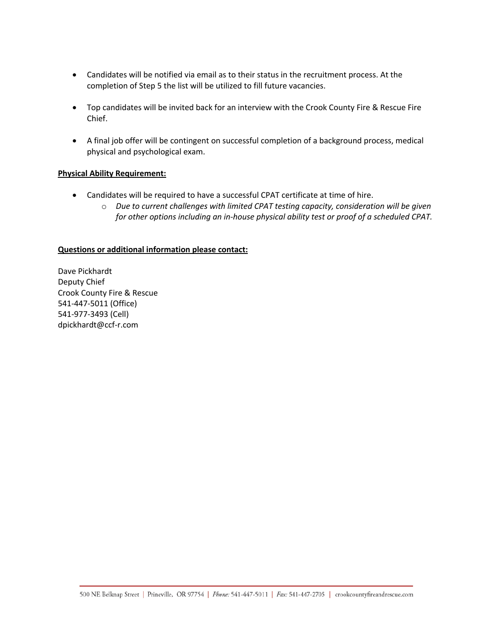- Candidates will be notified via email as to their status in the recruitment process. At the completion of Step 5 the list will be utilized to fill future vacancies.
- Top candidates will be invited back for an interview with the Crook County Fire & Rescue Fire Chief.
- A final job offer will be contingent on successful completion of a background process, medical physical and psychological exam.

# **Physical Ability Requirement:**

- Candidates will be required to have a successful CPAT certificate at time of hire.
	- o *Due to current challenges with limited CPAT testing capacity, consideration will be given for other options including an in-house physical ability test or proof of a scheduled CPAT.*

# **Questions or additional information please contact:**

Dave Pickhardt Deputy Chief Crook County Fire & Rescue 541-447-5011 (Office) 541-977-3493 (Cell) dpickhardt@ccf-r.com